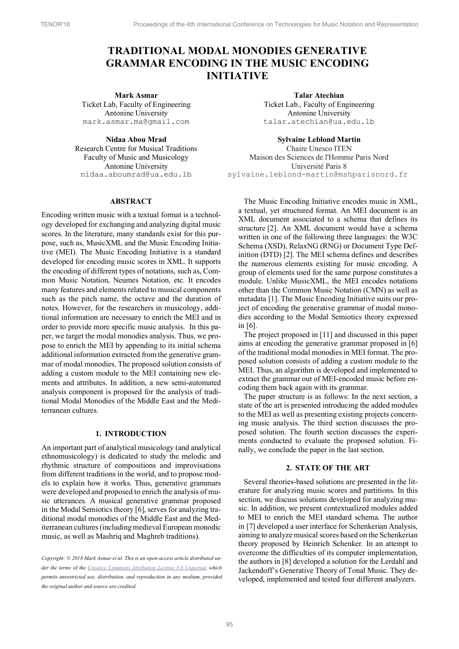# **TRADITIONAL MODAL MONODIES GENERATIVE GRAMMAR ENCODING IN THE MUSIC ENCODING INITIATIVE**

Ticket Lab, Faculty of Engineering Antonine University mark.asmar.ma@gmail.com

**Nidaa Abou Mrad**  Research Centre for Musical Traditions Faculty of Music and Musicology Antonine University nidaa.aboumrad@ua.edu.lb

**Mark Asmar Talar Atechian**  Ticket Lab., Faculty of Engineering Antonine University talar.atechian@ua.edu.lb

> **Sylvaine Leblond Martin** Chaire Unesco ITEN Maison des Sciences de l'Homme Paris Nord Université Paris 8 sylvaine.leblond-martin@mshparisnord.fr

### **ABSTRACT**

Encoding written music with a textual format is a technology developed for exchanging and analyzing digital music scores. In the literature, many standards exist for this purpose, such as, MusicXML and the Music Encoding Initiative (MEI). The Music Encoding Initiative is a standard developed for encoding music scores in XML. It supports the encoding of different types of notations, such as, Common Music Notation, Neumes Notation, etc. It encodes many features and elements related to musical components such as the pitch name, the octave and the duration of notes. However, for the researchers in musicology, additional information are necessary to enrich the MEI and in order to provide more specific music analysis. In this paper, we target the modal monodies analysis. Thus, we propose to enrich the MEI by appending to its initial schema additional information extracted from the generative grammar of modal monodies. The proposed solution consists of adding a custom module to the MEI containing new elements and attributes. In addition, a new semi-automated analysis component is proposed for the analysis of traditional Modal Monodies of the Middle East and the Mediterranean cultures.

### **1. INTRODUCTION**

An important part of analytical musicology (and analytical ethnomusicology) is dedicated to study the melodic and rhythmic structure of compositions and improvisations from different traditions in the world, and to propose models to explain how it works. Thus, generative grammars were developed and proposed to enrich the analysis of music utterances. A musical generative grammar proposed in the Modal Semiotics theory [6], serves for analyzing traditional modal monodies of the Middle East and the Mediterranean cultures (including medieval European monodic music, as well as Mashriq and Maghreb traditions).

*Copyright: © 2018 Mark Asmar et al. This is an open-access article distributed under the terms of the Creative Commons Attribution License 3.0 Unported, which permits unrestricted use, distribution, and reproduction in any medium, provided the original author and source are credited.*

The Music Encoding Initiative encodes music in XML, a textual, yet structured format. An MEI document is an XML document associated to a schema that defines its structure [2]. An XML document would have a schema written in one of the following three languages: the W3C Schema (XSD), RelaxNG (RNG) or Document Type Definition (DTD) [2]. The MEI schema defines and describes the numerous elements existing for music encoding. A group of elements used for the same purpose constitutes a module. Unlike MusicXML, the MEI encodes notations other than the Common Music Notation (CMN) as well as metadata [1]. The Music Encoding Initiative suits our project of encoding the generative grammar of modal monodies according to the Modal Semiotics theory expressed in [6].

The project proposed in [11] and discussed in this paper aims at encoding the generative grammar proposed in [6] of the traditional modal monodies in MEI format. The proposed solution consists of adding a custom module to the MEI. Thus, an algorithm is developed and implemented to extract the grammar out of MEI-encoded music before encoding them back again with its grammar.

The paper structure is as follows: In the next section, a state of the art is presented introducing the added modules to the MEI as well as presenting existing projects concerning music analysis. The third section discusses the proposed solution. The fourth section discusses the experiments conducted to evaluate the proposed solution. Finally, we conclude the paper in the last section.

### **2. STATE OF THE ART**

Several theories-based solutions are presented in the literature for analyzing music scores and partitions. In this section, we discuss solutions developed for analyzing music. In addition, we present contextualized modules added to MEI to enrich the MEI standard schema. The author in [7] developed a user interface for Schenkerian Analysis, aiming to analyze musical scores based on the Schenkerian theory proposed by Heinrich Schenker. In an attempt to overcome the difficulties of its computer implementation, the authors in [8] developed a solution for the Lerdahl and Jackendoff's Generative Theory of Tonal Music. They developed, implemented and tested four different analyzers.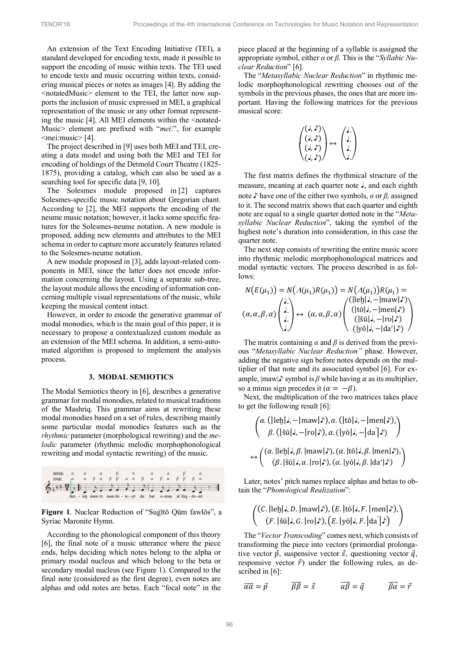An extension of the Text Encoding Initiative (TEI), a standard developed for encoding texts, made it possible to support the encoding of music within texts. The TEI used to encode texts and music occurring within texts, considering musical pieces or notes as images [4]. By adding the <notatedMusic> element to the TEI, the latter now supports the inclusion of music expressed in MEI, a graphical representation of the music or any other format representing the music  $[4]$ . All MEI elements within the  $\leq$ notated-Music> element are prefixed with "*mei*:", for example <mei:music>[4].

The project described in [9] uses both MEI and TEI, creating a data model and using both the MEI and TEI for encoding of holdings of the Detmold Court Theatre (1825- 1875), providing a catalog, which can also be used as a searching tool for specific data [9, 10].

The Solesmes module proposed in [2] captures Solesmes-specific music notation about Gregorian chant. According to [2], the MEI supports the encoding of the neume music notation; however, it lacks some specific features for the Solesmes-neume notation. A new module is proposed, adding new elements and attributes to the MEI schema in order to capture more accurately features related to the Solesmes-neume notation.

A new module proposed in [3], adds layout-related components in MEI, since the latter does not encode information concerning the layout. Using a separate sub-tree, the layout module allows the encoding of information concerning multiple visual representations of the music, while keeping the musical content intact.

However, in order to encode the generative grammar of modal monodies, which is the main goal of this paper, it is necessary to propose a contextualized custom module as an extension of the MEI schema. In addition, a semi-automated algorithm is proposed to implement the analysis process.

#### **3. MODAL SEMIOTICS**

The Modal Semiotics theory in [6], describes a generative grammar for modal monodies, related to musical traditions of the Mashriq. This grammar aims at rewriting these modal monodies based on a set of rules, describing mainly some particular modal monodies features such as the *rhythmic* parameter (morphological rewriting) and the *melodic* parameter (rhythmic melodic morphophonological rewriting and modal syntactic rewriting) of the music.



**Figure 1**. Nuclear Reduction of "Suġītō Qūm fawlōs", a Syriac Maronite Hymn.

According to the phonological component of this theory [6], the final note of a music utterance where the piece ends, helps deciding which notes belong to the alpha or primary modal nucleus and which belong to the beta or secondary modal nucleus (see Figure 1). Compared to the final note (considered as the first degree), even notes are alphas and odd notes are betas. Each "focal note" in the piece placed at the beginning of a syllable is assigned the appropriate symbol, either *α* or *β*. This is the "*Syllabic Nuclear Reduction*" [6].

The "*Metasyllabic Nuclear Reduction*" in rhythmic melodic morphophonological rewriting chooses out of the symbols in the previous phases, the ones that are more important. Having the following matrices for the previous musical score:

$$
\begin{pmatrix}\n(I, \mathcal{P}) \\
(J, \mathcal{P}) \\
(J, \mathcal{P})\n\end{pmatrix} \leftrightarrow \begin{pmatrix}\nI \\
J \\
J\n\end{pmatrix}
$$

The first matrix defines the rhythmical structure of the measure, meaning at each quarter note ♩, and each eighth note ♪ have one of the either two symbols, *α* or *β,* assigned to it. The second matrix shows that each quarter and eighth note are equal to a single quarter dotted note in the "*Metasyllabic Nuclear Reduction*", taking the symbol of the highest note's duration into consideration, in this case the quarter note.

The next step consists of rewriting the entire music score into rhythmic melodic morphophonological matrices and modal syntactic vectors. The process described is as follows:

$$
N(E(\mu_1)) = N(A(\mu_1)R(\mu_1)) = N(A(\mu_1))R(\mu_1) =
$$
  
\n
$$
(\alpha, \alpha, \beta, \alpha) \begin{pmatrix} \downarrow \\ \downarrow \\ \downarrow \end{pmatrix} \leftrightarrow (\alpha, \alpha, \beta, \alpha) \begin{pmatrix} (|\text{le} \downarrow|, -|\text{max}| \downarrow) \\ (|\text{te} \rbrace|, -|\text{min}| \downarrow) \\ (|\text{so} \rbrace, -|\text{ro} \rbrace) \\ (|\text{so} \rbrace, -|\text{da}' \rbrace)
$$

The matrix containing  $\alpha$  and  $\beta$  is derived from the previous "*Metasyllabic Nuclear Reduction"* phase. However, adding the negative sign before notes depends on the multiplier of that note and its associated symbol [6]. For example,  $|\text{maw}| \geq$  symbol is  $\beta$  while having  $\alpha$  as its multiplier, so a minus sign precedes it  $(\alpha = -\beta)$ .

Next, the multiplication of the two matrices takes place to get the following result [6]:

$$
\left(\alpha. \left(\left|\text{leb}\right| \right), -\left|\text{maw}\right| \right), \alpha. \left(\left|\text{to}\right| \right), -\left|\text{men}\right| \right),
$$
\n
$$
\beta. \left(\left|\text{so}\right| \right), -\left|\text{ro}\right| \right), \alpha. \left(\left|\text{vo}\right| \right), -\left|\text{da}'\right| \right)
$$
\n
$$
\leftrightarrow \left(\frac{(\alpha. \left|\text{leb}\right| \mathcal{J}, \beta. \left|\text{maw}\right| \mathcal{J}), (\alpha. \left|\text{to}\right| \mathcal{J}, \beta. \left|\text{men}\right| \mathcal{J}),}{(\beta. \left|\text{so}\right| \mathcal{J}, \alpha. \left|\text{ro}\right| \mathcal{J}), (\alpha. \left|\text{yo}\right| \mathcal{J}, \beta. \left|\text{da}'\right| \mathcal{J})}\right)
$$

Later, notes' pitch names replace alphas and betas to obtain the "*Phonological Realization*":

$$
\left(\begin{matrix}\n(C, |\text{leb}|), D. |\text{maw}| \cdot), (E, |\text{to}|, F. |\text{men}| \cdot), \\
(F, |\text{si}|, G. |\text{ro}| \cdot), (E, |\text{yo}|, F. |\text{da}'| \cdot)\n\end{matrix}\right)
$$

The "*Vector Transcoding*" comes next, which consists of transforming the piece into vectors (primordial prolongative vector  $\vec{p}$ , suspensive vector  $\vec{s}$ , questioning vector  $\vec{q}$ , responsive vector  $\vec{r}$ ) under the following rules, as described in [6]:

$$
\overrightarrow{\alpha\alpha} = \overrightarrow{\rho} \qquad \overrightarrow{\beta\beta} = \overrightarrow{s} \qquad \overrightarrow{\alpha\beta} = \overrightarrow{q} \qquad \overrightarrow{\beta\alpha} = \overrightarrow{r}
$$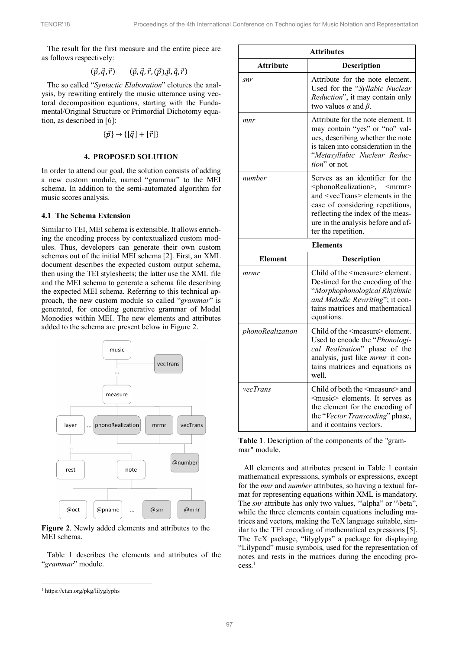The result for the first measure and the entire piece are as follows respectively:

$$
(\vec{p}, \vec{q}, \vec{r}) \qquad (\vec{p}, \vec{q}, \vec{r}, (\vec{p}), \vec{p}, \vec{q}, \vec{r})
$$

The so called "*Syntactic Elaboration*" clotures the analysis, by rewriting entirely the music utterance using vectoral decomposition equations, starting with the Fundamental/Original Structure or Primordial Dichotomy equation, as described in [6]:

$$
\{\vec{p}\}\rightarrow\{[\vec{q}]+[\vec{r}]\}
$$

### **4. PROPOSED SOLUTION**

In order to attend our goal, the solution consists of adding a new custom module, named "grammar" to the MEI schema. In addition to the semi-automated algorithm for music scores analysis.

### **4.1 The Schema Extension**

Similar to TEI, MEI schema is extensible. It allows enriching the encoding process by contextualized custom modules. Thus, developers can generate their own custom schemas out of the initial MEI schema [2]. First, an XML document describes the expected custom output schema, then using the TEI stylesheets; the latter use the XML file and the MEI schema to generate a schema file describing the expected MEI schema. Referring to this technical approach, the new custom module so called "*grammar*" is generated, for encoding generative grammar of Modal Monodies within MEI. The new elements and attributes added to the schema are present below in Figure 2.



**Figure 2**. Newly added elements and attributes to the MEI schema.

Table 1 describes the elements and attributes of the "*grammar*" module.

l

| <b>Attributes</b> |                                                                                                                                                                                                                                                                                 |  |  |  |
|-------------------|---------------------------------------------------------------------------------------------------------------------------------------------------------------------------------------------------------------------------------------------------------------------------------|--|--|--|
| Attribute         | Description                                                                                                                                                                                                                                                                     |  |  |  |
| snr               | Attribute for the note element.<br>Used for the "Syllabic Nuclear<br>Reduction", it may contain only<br>two values $\alpha$ and $\beta$ .                                                                                                                                       |  |  |  |
| mnr               | Attribute for the note element. It<br>may contain "yes" or "no" val-<br>ues, describing whether the note<br>is taken into consideration in the<br>"Metasyllabic Nuclear Reduc-<br>tion" or not.                                                                                 |  |  |  |
| number            | Serves as an identifier for the<br><phonorealization>, <mrmr><br/>and <vectrans> elements in the<br/>case of considering repetitions,<br/>reflecting the index of the meas-<br/>ure in the analysis before and af-<br/>ter the repetition.</vectrans></mrmr></phonorealization> |  |  |  |
|                   | <b>Elements</b>                                                                                                                                                                                                                                                                 |  |  |  |
| <b>Element</b>    | <b>Description</b>                                                                                                                                                                                                                                                              |  |  |  |
| mrmr              | Child of the <measure> element.<br/>Destined for the encoding of the<br/>"Morphophonological Rhythmic<br/>and Melodic Rewriting"; it con-<br/>tains matrices and mathematical<br/>equations.</measure>                                                                          |  |  |  |
| phonoRealization  | Child of the $\leq$ measure $\geq$ element.<br>Used to encode the "Phonologi-<br>cal Realization" phase of the<br>analysis, just like <i>mrmr</i> it con-<br>tains matrices and equations as<br>well.                                                                           |  |  |  |
| vecTrans          | Child of both the $\leq$ measure $\geq$ and<br><music> elements. It serves as<br/>the element for the encoding of<br/>the "Vector Transcoding" phase,<br/>and it contains vectors.</music>                                                                                      |  |  |  |

**Table 1**. Description of the components of the "grammar" module.

All elements and attributes present in Table 1 contain mathematical expressions, symbols or expressions, except for the *mnr* and *number* attributes, so having a textual format for representing equations within XML is mandatory. The *snr* attribute has only two values, "\alpha" or "\beta", while the three elements contain equations including matrices and vectors, making the TeX language suitable, similar to the TEI encoding of mathematical expressions [5]. The TeX package, "lilyglyps" a package for displaying "Lilypond" music symbols, used for the representation of notes and rests in the matrices during the encoding process. 1

<sup>1</sup> https://ctan.org/pkg/lilyglyphs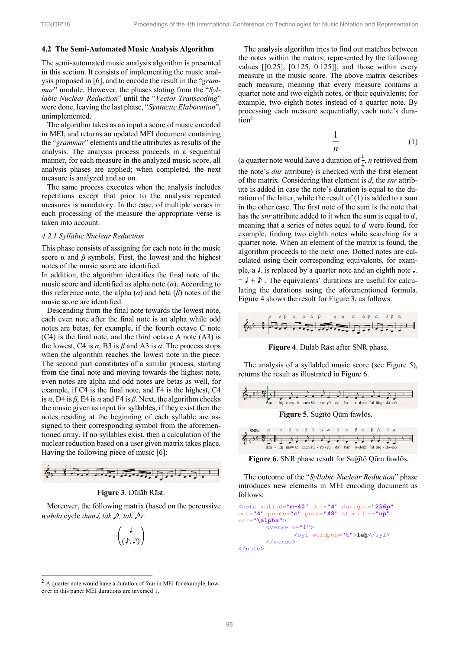#### **4.2 The Semi-Automated Music Analysis Algorithm**

The semi-automated music analysis algorithm is presented in this section. It consists of implementing the music analysis proposed in [6], and to encode the result in the "*grammar*" module. However, the phases stating from the "*Syllabic Nuclear Reduction*" until the "*Vector Transcoding*" were done, leaving the last phase, "*Syntactic Elaboration*", unimplemented.

The algorithm takes as an input a score of music encoded in MEI, and returns an updated MEI document containing the "*grammar*" elements and the attributes as results of the analysis. The analysis process proceeds in a sequential manner, for each measure in the analyzed music score, all analysis phases are applied; when completed, the next measure is analyzed and so on.

The same process executes when the analysis includes repetitions except that prior to the analysis repeated measures is mandatory. In the case, of multiple verses in each processing of the measure the appropriate verse is taken into account.

#### *4.2.1 Syllabic Nuclear Reduction*

This phase consists of assigning for each note in the music score  $\alpha$  and  $\beta$  symbols. First, the lowest and the highest notes of the music score are identified.

In addition, the algorithm identifies the final note of the music score and identified as alpha note  $(\alpha)$ . According to this reference note, the alpha (*α*) and beta (*β*) notes of the music score are identified.

Descending from the final note towards the lowest note, each even note after the final note is an alpha while odd notes are betas, for example, if the fourth octave C note (C4) is the final note, and the third octave A note (A3) is the lowest, C4 is  $\alpha$ , B3 is  $\beta$  and A3 is  $\alpha$ . The process stops when the algorithm reaches the lowest note in the piece. The second part constitutes of a similar process, starting from the final note and moving towards the highest note, even notes are alpha and odd notes are betas as well, for example, if C4 is the final note, and F4 is the highest, C4 is *α*, D4 is *β*, E4 is *α* and F4 is *β*. Next, the algorithm checks the music given as input for syllables, if they exist then the notes residing at the beginning of each syllable are assigned to their corresponding symbol from the aforementioned array. If no syllables exist, then a calculation of the nuclear reduction based on a user given matrix takes place. Having the following piece of music [6]:



#### **Figure 3**. Dūlāb Rāst.

Moreover, the following matrix (based on the percussive *wahda* cycle *dum*♪, *tak* ♪, *tak* ♪:

$$
\binom{1}{(1,1)}
$$

l

The analysis algorithm tries to find out matches between the notes within the matrix, represented by the following values  $[0.25]$ ,  $[0.125, 0.125]$ , and those within every measure in the music score. The above matrix describes each measure, meaning that every measure contains a quarter note and two eighth notes, or their equivalents; for example, two eighth notes instead of a quarter note. By processing each measure sequentially, each note's duration<sup>2</sup>

$$
\frac{1}{n} \tag{1}
$$

(a quarter note would have a duration of  $\frac{1}{4}$ , *n* retrieved from the note's *dur* attribute) is checked with the first element of the matrix. Considering that element is *d*, the *snr* attribute is added in case the note's duration is equal to the duration of the latter, while the result of (1) is added to a sum in the other case. The first note of the sum is the note that has the *snr* attribute added to it when the sum is equal to d, meaning that a series of notes equal to  $d$  were found, for example, finding two eighth notes while searching for a quarter note. When an element of the matrix is found, the algorithm proceeds to the next one. Dotted notes are calculated using their corresponding equivalents, for example, a ♩. is replaced by a quarter note and an eighth note ♩.  $= \mathsf{J} + \mathsf{D}$ . The equivalents' durations are useful for calculating the durations using the aforementioned formula. Figure 4 shows the result for Figure 3, as follows:



**Figure 4**. Dūlāb Rāst after SNR phase.

The analysis of a syllabled music score (see Figure 5), returns the result as illustrated in Figure 6.





**Figure 6**. SNR phase result for Suġītō Qūm fawlōs.

The outcome of the "*Syllabic Nuclear Reduction*" phase introduces new elements in MEI encoding document as follows:

```
<note xml:id="m-40" dur="4" dur.ges="256p"
oct="4" pname="c" pnum="48" stem.dir="up"
snr="\alpha">
       <verse n="1">
              <syl wordpos="t">leḫ</syl>
       </verse>
</note>
```
<sup>&</sup>lt;sup>2</sup> A quarter note would have a duration of four in MEI for example, however in this paper MEI durations are inversed 1.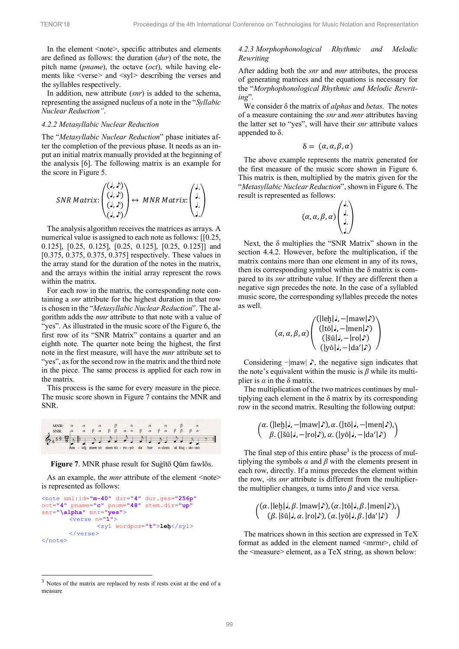In the element <note>, specific attributes and elements are defined as follows: the duration (*dur*) of the note, the pitch name (*pname*), the octave (*oct*), while having elements like  $\langle \text{verses} \rangle$  and  $\langle \text{sv} \rangle$  describing the verses and the syllables respectively.

In addition, new attribute (*snr*) is added to the schema, representing the assigned nucleus of a note in the "*Syllabic Nuclear Reduction"*.

#### *4.2.2 Metasyllabic Nuclear Reduction*

The "*Metasyllabic Nuclear Reduction*" phase initiates after the completion of the previous phase. It needs as an input an initial matrix manually provided at the beginning of the analysis [6]. The following matrix is an example for the score in Figure 5.

$$
SNR Matrix: \begin{pmatrix} (J, D) \\ (J, D) \\ (J, D) \end{pmatrix} \leftrightarrow MNR Matrix: \begin{pmatrix} J, \\ J, \\ J, \\ J \end{pmatrix}
$$

The analysis algorithm receives the matrices as arrays. A numerical value is assigned to each note as follows: [[0.25, 0.125], [0.25, 0.125], [0.25, 0.125], [0.25, 0.125]] and [0.375, 0.375, 0.375, 0.375] respectively. These values in the array stand for the duration of the notes in the matrix, and the arrays within the initial array represent the rows within the matrix.

For each row in the matrix, the corresponding note containing a *snr* attribute for the highest duration in that row is chosen in the "*Metasyllabic Nuclear Reduction*". The algorithm adds the *mnr* attribute to that note with a value of "yes". As illustrated in the music score of the Figure 6, the first row of its "SNR Matrix" contains a quarter and an eighth note. The quarter note being the highest, the first note in the first measure, will have the *mnr* attribute set to "yes", as for the second row in the matrix and the third note in the piece. The same process is applied for each row in the matrix.

This process is the same for every measure in the piece. The music score shown in Figure 7 contains the MNR and SNR.



**Figure 7**. MNR phase result for Suġītō Qūm fawlōs.

As an example, the *mnr* attribute of the element <note> is represented as follows:

```
<note xml:id="m-40" dur="4" dur.ges="256p"
oct="4" pname="c" pnum="48" stem.dir="up"
snr="\alpha" mnr="yes">
       <verse n="1">
              <syl wordpos="t">leḫ</syl>
       </verse>
</note>
```
l

#### <sup>3</sup> Notes of the matrix are replaced by rests if rests exist at the end of a measure

#### *4.2.3 Morphophonological Rhythmic and Melodic Rewriting*

After adding both the *snr* and *mnr* attributes, the process of generating matrices and the equations is necessary for the "*Morphophonological Rhythmic and Melodic Rewriting*".

We consider δ the matrix of *alphas* and *betas*. The notes of a measure containing the *snr* and *mnr* attributes having the latter set to "yes", will have their *snr* attribute values appended to  $δ$ .

$$
\delta = (\alpha, \alpha, \beta, \alpha)
$$

The above example represents the matrix generated for the first measure of the music score shown in Figure 6. This matrix is then, multiplied by the matrix given for the "*Metasyllabic Nuclear Reduction*", shown in Figure 6. The result is represented as follows:

$$
(\alpha, \alpha, \beta, \alpha) \begin{pmatrix} 1 \\ 1 \\ 1 \end{pmatrix}
$$

Next, the δ multiplies the "SNR Matrix" shown in the section 4.4.2. However, before the multiplication, if the matrix contains more than one element in any of its rows, then its corresponding symbol within the  $\delta$  matrix is compared to its *snr* attribute value. If they are different then a negative sign precedes the note. In the case of a syllabled music score, the corresponding syllables precede the notes as well.

$$
(\alpha, \alpha, \beta, \alpha) \begin{pmatrix} (|\text{leb}|J, -|\text{max}|J) \\ (|\text{to}|J, -|\text{men}|J) \\ (|\text{si}|J, -|\text{ro}|J) \\ (|\text{yi}|J, -|\text{da}'|J) \end{pmatrix}
$$

Considering −|maw| ♪, the negative sign indicates that the note's equivalent within the music is  $\beta$  while its multiplier is  $\alpha$  in the  $\delta$  matrix.

The multiplication of the two matrices continues by multiplying each element in the  $\delta$  matrix by its corresponding row in the second matrix. Resulting the following output:

$$
\left(\alpha. \left(\vert\vert \text{left}\vert\right.\vert, -\vert \text{max}\vert\right), \alpha. \left(\vert\text{to}\vert\right., -\vert \text{men}\vert\right),\right) \\
 \left(\beta. \left(\vert\text{right}\vert\right), -\vert \text{ro}\vert\right), \alpha. \left(\vert\text{to}\vert\right), -\vert\text{da}'\vert\right)
$$

The final step of this entire phase<sup>3</sup> is the process of multiplying the symbols  $\alpha$  and  $\beta$  with the elements present in each row, directly. If a minus precedes the element within the row, -its *snr* attribute is different from the multiplierthe multiplier changes, α turns into *β* and vice versa.

$$
\left(\begin{matrix} (\alpha, |\text{leb}|), \beta, |\text{maw}|), (\alpha, |\text{to}|), \beta, |\text{men}|), \\ (\beta, |\text{si}|), \alpha, |\text{ro}|), (\alpha, |\text{ys}|), \beta, |\text{da}'|, \beta \end{matrix}\right)
$$

The matrices shown in this section are expressed in TeX format as added in the element named <mrmr>, child of the <measure> element, as a TeX string, as shown below: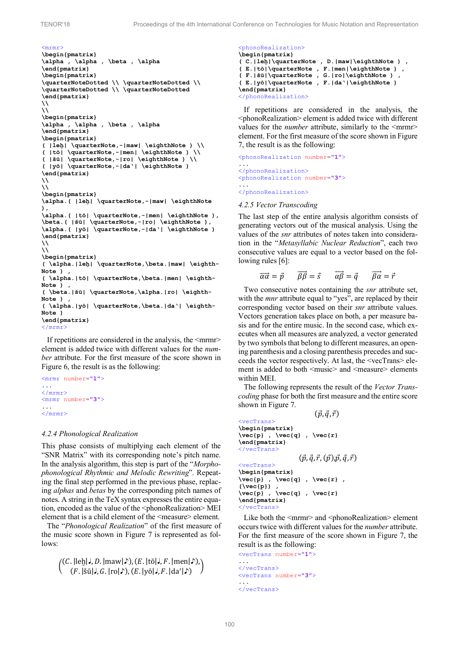#### <mrmr>

```
\begin{pmatrix} 
\alpha , \alpha , \beta , \alpha 
\end{pmatrix}
\begin{pmatrix}
\quarterNoteDotted \\ \quarterNoteDotted \\ 
\quarterNoteDotted \\ \quarterNoteDotted 
\end{pmatrix}
\\ 
\lambda\begin{pmatrix} 
\alpha , \alpha , \beta , \alpha 
\end{pmatrix}
\begin{pmatrix} 
( |leḫ| \quarterNote,-|maw| \eighthNote ) \\ 
( |tō| \quarterNote,-|men| \eighthNote ) \\ 
( |šū| \quarterNote,-|ro| \eighthNote ) \\ 
( |yō| \quarterNote,-|da'| \eighthNote ) 
\end{pmatrix}
\lambda\\ 
\begin{pmatrix} 
\alpha.( |leḫ| \quarterNote,-|maw| \eighthNote 
),
\alpha.( |tō| \quarterNote,-|men| \eighthNote ),
\beta.( |šū| \quarterNote,-|ro| \eighthNote ),
\alpha.( |yō| \quarterNote,-|da'| \eighthNote ) 
\end{pmatrix}
\\ 
\\ 
\begin{pmatrix} 
( \alpha.|leḫ| \quarterNote,\beta.|maw| \eighth-
Note ) , 
( \alpha.|tō| \quarterNote,\beta.|men| \eighth-
Note ) , 
( \beta.|šū| \quarterNote,\alpha.|ro| \eighth-
Note )
( \alpha.|yō| \quarterNote,\beta.|da'| \eighth-
Note ) 
\end{pmatrix}
</mrmr>
```
If repetitions are considered in the analysis, the  $\leq$ mrmr $\geq$ element is added twice with different values for the *number* attribute. For the first measure of the score shown in Figure 6, the result is as the following:

```
<mrmr number="1">
...
</mrmr>
<mrmr number="3">
...
</mrmr>
```
#### *4.2.4 Phonological Realization*

This phase consists of multiplying each element of the "SNR Matrix" with its corresponding note's pitch name. In the analysis algorithm, this step is part of the "*Morphophonological Rhythmic and Melodic Rewriting*"*.* Repeating the final step performed in the previous phase, replacing *alphas* and *betas* by the corresponding pitch names of notes. A string in the TeX syntax expresses the entire equation, encoded as the value of the <phonoRealization>MEI element that is a child element of the <measure> element.

The "*Phonological Realization*" of the first measure of the music score shown in Figure 7 is represented as follows:

```
\left(\begin{matrix} (C, \text{leb}], D, \text{[max]}) \end{matrix}\right), \left(E, \text{[to]} \right), F, \text{[men]} \right)(F. |\text{Sū}|, G. |\text{ro}|), (E. |\text{vo}|, F. |\text{disc}|)
```

```
<phonoRealization>
\begin{pmatrix} 
( C.|leḫ|\quarterNote , D.|maw|\eighthNote ) , 
( E.|tō|\quarterNote , F.|men|\eighthNote ) , 
( F.|šū|\quarterNote , G.|ro|\eighthNote ) , 
( E.|yō|\quarterNote , F.|da'|\eighthNote ) 
\end{pmatrix}
</phonoRealization>
```
If repetitions are considered in the analysis, the <phonoRealization> element is added twice with different values for the *number* attribute, similarly to the  $\leq$ mrmr> element. For the first measure of the score shown in Figure 7, the result is as the following:

<phonoRealization number=**"1"**> **...** </phonoRealization> <phonoRealization number=**"3"**> **...** </phonoRealization>

#### *4.2.5 Vector Transcoding*

The last step of the entire analysis algorithm consists of generating vectors out of the musical analysis. Using the values of the *snr* attributes of notes taken into consideration in the "*Metasyllabic Nuclear Reduction*", each two consecutive values are equal to a vector based on the following rules [6]:

$$
\overrightarrow{\alpha\alpha} = \vec{p} \qquad \overrightarrow{\beta\beta} = \vec{s} \qquad \overrightarrow{\alpha\beta} = \vec{q} \qquad \overrightarrow{\beta\alpha} = \vec{r}
$$

Two consecutive notes containing the *snr* attribute set, with the *mnr* attribute equal to "yes", are replaced by their corresponding vector based on their *snr* attribute values. Vectors generation takes place on both, a per measure basis and for the entire music. In the second case, which executes when all measures are analyzed, a vector generated by two symbols that belong to different measures, an opening parenthesis and a closing parenthesis precedes and succeeds the vector respectively. At last, the <vecTrans> element is added to both <music> and <measure> elements within MEI.

The following represents the result of the *Vector Transcoding* phase for both the first measure and the entire score shown in Figure 7.

 $(\vec{p}, \vec{q}, \vec{r})$ 

```
<vecTrans>
\begin{pmatrix} 
\vec{p} , \vec{q} , \vec{r} 
\end{pmatrix}
</vecTrans>
                     (\vec{p}, \vec{q}, \vec{r}, (\vec{p}), \vec{p}, \vec{q}, \vec{r})<vecTrans>
\begin{pmatrix} 
\vec{p} , \vec{q} , \vec{r} , 
(\vec{p}) , 
\vec{p} , \vec{q} , \vec{r} 
\end{pmatrix}
</vecTrans>
```
Like both the  $\leq$ mrmr> and  $\leq$ phonoRealization> element occurs twice with different values for the *number* attribute. For the first measure of the score shown in Figure 7, the result is as the following:

```
<vecTrans number="1">
...
\langle/vecTrans>
<vecTrans number="3">
...
</vecTrans>
```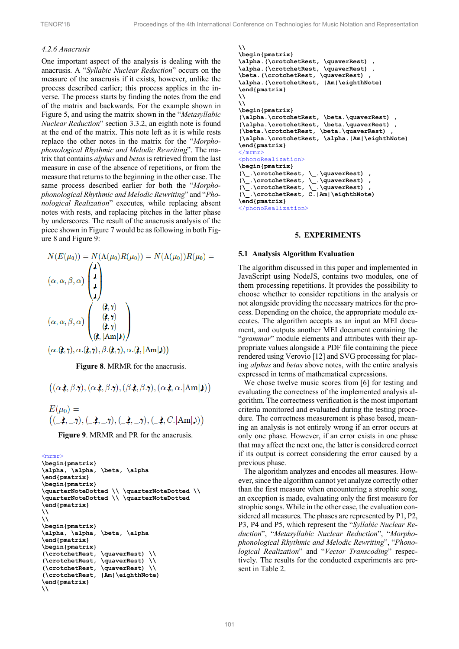#### *4.2.6 Anacrusis*

One important aspect of the analysis is dealing with the anacrusis. A "*Syllabic Nuclear Reduction*" occurs on the measure of the anacrusis if it exists, however, unlike the process described earlier; this process applies in the inverse. The process starts by finding the notes from the end of the matrix and backwards. For the example shown in Figure 5, and using the matrix shown in the "*Metasyllabic Nuclear Reduction*" section 3.3.2, an eighth note is found at the end of the matrix. This note left as it is while rests replace the other notes in the matrix for the "*Morphophonological Rhythmic and Melodic Rewriting*". The matrix that contains *alphas* and *betas* is retrieved from the last measure in case of the absence of repetitions, or from the measure that returns to the beginning in the other case. The same process described earlier for both the "*Morphophonological Rhythmic and Melodic Rewriting*" and "*Phonological Realization*" executes, while replacing absent notes with rests, and replacing pitches in the latter phase by underscores. The result of the anacrusis analysis of the piece shown in Figure 7 would be as following in both Figure 8 and Figure 9:

$$
N(E(\mu_0)) = N(\Lambda(\mu_0)R(\mu_0)) = N(\Lambda(\mu_0))R(\mu_0) =
$$
\n
$$
(\alpha, \alpha, \beta, \alpha) \begin{pmatrix} \downarrow \\ \downarrow \\ \downarrow \end{pmatrix}
$$
\n
$$
(\alpha, \alpha, \beta, \alpha) \begin{pmatrix} (\mathbf{k}, \mathbf{y}) \\ (\mathbf{k}, \mathbf{y}) \\ (\mathbf{k}, |\mathbf{A}\mathbf{m}|\mathbf{y}) \end{pmatrix}
$$
\n
$$
(\alpha.(\mathbf{k}, \mathbf{y}), \alpha.(\mathbf{k}, \mathbf{y}), \beta.(\mathbf{k}, \mathbf{y}), \alpha.(\mathbf{k}, |\mathbf{A}\mathbf{m}|\mathbf{y}))
$$

**Figure 8**. MRMR for the anacrusis.

$$
\begin{aligned} & \big( (\alpha \boldsymbol{\cdot} \boldsymbol{\cdot} \boldsymbol{\cdot} \boldsymbol{\cdot} \boldsymbol{\beta} \boldsymbol{\cdot} \boldsymbol{\gamma}), (\alpha \boldsymbol{\cdot} \boldsymbol{\cdot} \boldsymbol{\cdot} \boldsymbol{\beta} \boldsymbol{\cdot} \boldsymbol{\gamma}), (\beta \boldsymbol{\cdot} \boldsymbol{\cdot} \boldsymbol{\cdot} \boldsymbol{\beta} \boldsymbol{\cdot} \boldsymbol{\gamma}), (\alpha \boldsymbol{\cdot} \boldsymbol{\cdot} \boldsymbol{\cdot} \boldsymbol{\cdot} \boldsymbol{\cdot} \boldsymbol{\cdot} \boldsymbol{\cdot} \boldsymbol{\cdot} \boldsymbol{\cdot} \boldsymbol{\cdot} \boldsymbol{\cdot} \boldsymbol{\cdot} \boldsymbol{\cdot} \boldsymbol{\cdot} \boldsymbol{\cdot} \boldsymbol{\cdot} \boldsymbol{\cdot} \boldsymbol{\cdot} \boldsymbol{\cdot} \boldsymbol{\cdot} \boldsymbol{\cdot} \boldsymbol{\cdot} \boldsymbol{\cdot} \boldsymbol{\cdot} \boldsymbol{\cdot} \boldsymbol{\cdot} \boldsymbol{\cdot} \boldsymbol{\cdot} \boldsymbol{\cdot} \boldsymbol{\cdot} \boldsymbol{\cdot} \boldsymbol{\cdot} \boldsymbol{\cdot} \boldsymbol{\cdot} \boldsymbol{\cdot} \boldsymbol{\cdot} \boldsymbol{\cdot} \boldsymbol{\cdot} \boldsymbol{\cdot} \boldsymbol{\cdot} \boldsymbol{\cdot} \boldsymbol{\cdot} \boldsymbol{\cdot} \boldsymbol{\cdot} \boldsymbol{\cdot} \boldsymbol{\cdot} \boldsymbol{\cdot} \boldsymbol{\cdot} \boldsymbol{\cdot} \boldsymbol{\cdot} \boldsymbol{\cdot} \boldsymbol{\cdot} \boldsymbol{\cdot} \boldsymbol{\cdot} \boldsymbol{\cdot} \boldsymbol{\cdot} \boldsymbol{\cdot} \boldsymbol{\cdot} \boldsymbol{\cdot} \boldsymbol{\cdot} \boldsymbol{\cdot} \boldsymbol{\cdot} \boldsymbol{\cdot} \boldsymbol{\cdot} \boldsymbol{\cdot} \boldsymbol{\cdot} \boldsymbol{\cdot} \boldsymbol{\cdot} \boldsymbol{\cdot} \boldsymbol{\cdot} \boldsymbol{\cdot} \boldsymbol{\cdot} \boldsymbol{\cdot} \boldsymbol{\cdot} \boldsymbol{\cdot} \boldsymbol{\cdot} \boldsymbol{\cdot} \boldsymbol{\cdot} \boldsymbol{\cdot} \boldsymbol{\cdot} \boldsymbol{\cdot} \boldsymbol{\cdot} \boldsymbol{\cdot} \boldsymbol{\cdot} \boldsymbol{\cdot} \boldsymbol{\cdot} \boldsymbol{\cdot} \boldsymbol{\cdot} \boldsymbol{\cdot} \boldsymbol{\cdot} \boldsymbol{\cdot} \boldsymbol{\cdot} \boldsymbol{\cdot} \boldsymbol{\cdot} \boldsymbol{\cdot} \boldsymbol{\cdot} \boldsymbol{\cdot} \boldsymbol{\cdot} \boldsymbol{\cdot} \boldsymbol{\cdot} \boldsymbol{\cdot} \boldsymbol{\cdot} \boldsymbol{\cdot} \boldsymbol{\cdot} \boldsymbol
$$

**Figure 9**. MRMR and PR for the anacrusis.

```
<mrmr>
\begin{pmatrix} 
\alpha, \alpha, \beta, \alpha 
\end{pmatrix}
\begin{pmatrix} 
\quarterNoteDotted \\ \quarterNoteDotted \\ 
\quarterNoteDotted \\ \quarterNoteDotted 
\end{pmatrix} 
\\ 
\\ 
\begin{pmatrix} 
\alpha, \alpha, \beta, \alpha 
\end{pmatrix}
\begin{pmatrix} 
(\crotchetRest, \quaverRest) \\ 
(\crotchetRest, \quaverRest) \\ 
(\crotchetRest, \quaverRest) \\ 
(\crotchetRest, |Am|\eighthNote) 
\end{pmatrix} 
\\
```

```
\\ 
\begin{pmatrix} 
\alpha.(\crotchetRest, \quaverRest) , 
\alpha.(\crotchetRest, \quaverRest) , 
\beta.(\crotchetRest, \quaverRest) , 
\alpha.(\crotchetRest, |Am|\eighthNote) 
\end{pmatrix} 
\\ 
\\ 
\begin{pmatrix} 
(\alpha.\crotchetRest, \beta.\quaverRest) , 
(\alpha.\crotchetRest, \beta.\quaverRest) , 
(\beta.\crotchetRest, \beta.\quaverRest) , 
(\alpha.\crotchetRest, \alpha.|Am|\eighthNote) 
\end{pmatrix}
</mrmr>
<phonoRealization>
\begin{pmatrix} 
(\_.\crotchetRest, \_.\quaverRest) , 
(\_.\crotchetRest, \_.\quaverRest) , 
(\_.\crotchetRest, \_.\quaverRest) , 
(\_.\crotchetRest, C.|Am|\eighthNote) 
\end{pmatrix}
</phonoRealization>
```
#### **5. EXPERIMENTS**

#### **5.1 Analysis Algorithm Evaluation**

The algorithm discussed in this paper and implemented in JavaScript using NodeJS, contains two modules, one of them processing repetitions. It provides the possibility to choose whether to consider repetitions in the analysis or not alongside providing the necessary matrices for the process. Depending on the choice, the appropriate module executes. The algorithm accepts as an input an MEI document, and outputs another MEI document containing the "*grammar*" module elements and attributes with their appropriate values alongside a PDF file containing the piece rendered using Verovio [12] and SVG processing for placing *alphas* and *betas* above notes, with the entire analysis expressed in terms of mathematical expressions.

We chose twelve music scores from [6] for testing and evaluating the correctness of the implemented analysis algorithm. The correctness verification is the most important criteria monitored and evaluated during the testing procedure. The correctness measurement is phase based, meaning an analysis is not entirely wrong if an error occurs at only one phase. However, if an error exists in one phase that may affect the next one, the latter is considered correct if its output is correct considering the error caused by a previous phase.

The algorithm analyzes and encodes all measures. However, since the algorithm cannot yet analyze correctly other than the first measure when encountering a strophic song, an exception is made, evaluating only the first measure for strophic songs. While in the other case, the evaluation considered all measures. The phases are represented by P1, P2, P3, P4 and P5, which represent the "*Syllabic Nuclear Reduction*", "*Metasyllabic Nuclear Reduction*", "*Morphophonological Rhythmic and Melodic Rewriting*", "*Phonological Realization*" and "*Vector Transcoding*" respectively. The results for the conducted experiments are present in Table 2.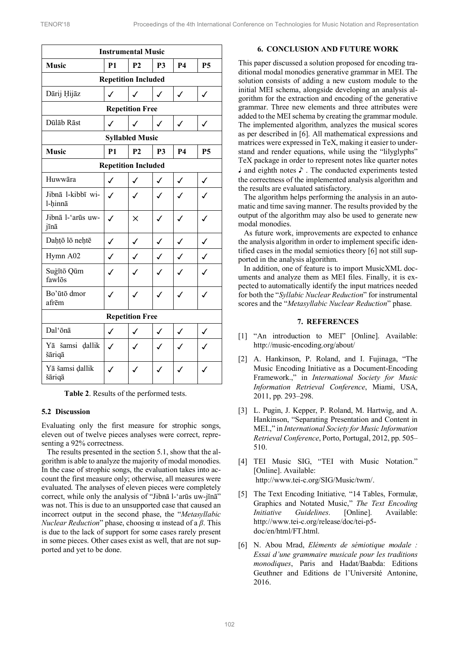| <b>Instrumental Music</b>    |                |                |                |              |              |  |
|------------------------------|----------------|----------------|----------------|--------------|--------------|--|
| <b>Music</b>                 | <b>P1</b>      | P <sub>2</sub> | <b>P3</b>      | <b>P4</b>    | <b>P5</b>    |  |
| <b>Repetition Included</b>   |                |                |                |              |              |  |
| Dārij Hijāz                  | ✓              | ✓              | ✓              | $\checkmark$ | $\checkmark$ |  |
| <b>Repetition Free</b>       |                |                |                |              |              |  |
| Dūlāb Rāst                   | ✓              | ✓              | ℐ              | $\checkmark$ |              |  |
| <b>Syllabled Music</b>       |                |                |                |              |              |  |
| <b>Music</b>                 | P <sub>1</sub> | P <sub>2</sub> | P <sub>3</sub> | <b>P4</b>    | <b>P5</b>    |  |
| <b>Repetition Included</b>   |                |                |                |              |              |  |
| Huwwāra                      | $\checkmark$   | ✓              | $\checkmark$   | ✓            | ✓            |  |
| Jibnā l-kibbī wi-<br>l-hinnā | ✓              |                |                |              |              |  |
| Jibnā l-'arūs uw-<br>jīnā    | ℐ              | ×              | ℐ              |              |              |  |
| Daḥțō lō neḥtē               | ✓              | ✓              | $\checkmark$   |              |              |  |
| Hymn A02                     | $\checkmark$   | $\checkmark$   | $\checkmark$   | $\checkmark$ | ✓            |  |
| Suģītō Qūm<br>fawlōs         | ✓              | ✓              | ✓              |              |              |  |
| Bo'ūtō dmor<br>afrēm         | ℐ              |                | ✓              |              |              |  |
| <b>Repetition Free</b>       |                |                |                |              |              |  |
| Dal'ōnā                      | $\checkmark$   | ✓              | $\checkmark$   | ✓            | ✓            |  |
| Yā šamsi dallik<br>šāriqā    | ✓              |                | ✓              |              |              |  |
| Yā šamsi dallik<br>šāriqā    |                |                |                |              |              |  |

**Table 2**. Results of the performed tests.

### **5.2 Discussion**

Evaluating only the first measure for strophic songs, eleven out of twelve pieces analyses were correct, representing a 92% correctness.

The results presented in the section 5.1, show that the algorithm is able to analyze the majority of modal monodies. In the case of strophic songs, the evaluation takes into account the first measure only; otherwise, all measures were evaluated. The analyses of eleven pieces were completely correct, while only the analysis of "Jibnā l-'arūs uw-jīnā" was not. This is due to an unsupported case that caused an incorrect output in the second phase, the "*Metasyllabic Nuclear Reduction*" phase, choosing α instead of a *β*. This is due to the lack of support for some cases rarely present in some pieces. Other cases exist as well, that are not supported and yet to be done.

### **6. CONCLUSION AND FUTURE WORK**

This paper discussed a solution proposed for encoding traditional modal monodies generative grammar in MEI. The solution consists of adding a new custom module to the initial MEI schema, alongside developing an analysis algorithm for the extraction and encoding of the generative grammar. Three new elements and three attributes were added to the MEI schema by creating the grammar module. The implemented algorithm, analyzes the musical scores as per described in [6]. All mathematical expressions and matrices were expressed in TeX, making it easier to understand and render equations, while using the "lilyglyphs" TeX package in order to represent notes like quarter notes ♩ and eighth notes ♪ . The conducted experiments tested the correctness of the implemented analysis algorithm and the results are evaluated satisfactory.

The algorithm helps performing the analysis in an automatic and time saving manner. The results provided by the output of the algorithm may also be used to generate new modal monodies.

As future work, improvements are expected to enhance the analysis algorithm in order to implement specific identified cases in the modal semiotics theory [6] not still supported in the analysis algorithm.

In addition, one of feature is to import MusicXML documents and analyze them as MEI files. Finally, it is expected to automatically identify the input matrices needed for both the "*Syllabic Nuclear Reduction*" for instrumental scores and the "*Metasyllabic Nuclear Reduction*" phase.

## **7. REFERENCES**

- [1] "An introduction to MEI" [Online]. Available: http://music-encoding.org/about/
- [2] A. Hankinson, P. Roland, and I. Fujinaga, "The Music Encoding Initiative as a Document-Encoding Framework.," in *International Society for Music Information Retrieval Conference*, Miami, USA, 2011, pp. 293–298.
- [3] L. Pugin, J. Kepper, P. Roland, M. Hartwig, and A. Hankinson, "Separating Presentation and Content in MEI.," in *International Society for Music Information Retrieval Conference*, Porto, Portugal, 2012, pp. 505– 510.
- [4] TEI Music SIG, "TEI with Music Notation." [Online]. Available: http://www.tei-c.org/SIG/Music/twm/.
- [5] The Text Encoding Initiative*,* "14 Tables, Formulæ, Graphics and Notated Music," *The Text Encoding Initiative Guidelines*. [Online]. Available: http://www.tei-c.org/release/doc/tei-p5 doc/en/html/FT.html.
- [6] N. Abou Mrad, *Eléments de sémiotique modale : Essai d'une grammaire musicale pour les traditions monodiques*, Paris and Hadat/Baabda: Editions Geuthner and Editions de l'Université Antonine, 2016.